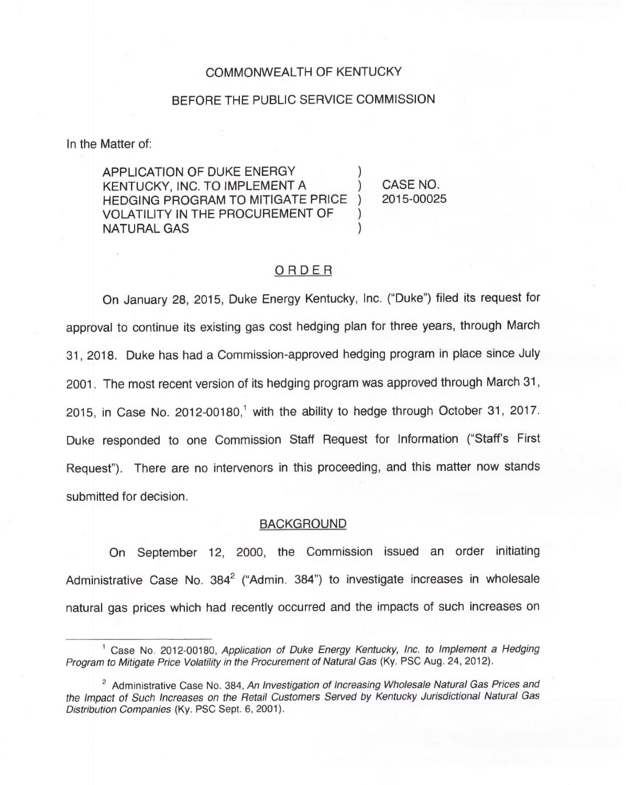### COMMONWEALTH OF KENTUCKY

## BEFORE THE PUBLIC SERVICE COMMISSION

In the Matter of:

APPLICATION OF DUKE ENERGY KENTUCKY, INC. TO IMPLEMENT A ) HEDGING PROGRAM TO MITIGATE PRICE ) VOLATILITY IN THE PROCUREMENT OF NATURAL GAS )

CASE NO. 2015-00025

# ORDER

On January 28, 2015, Duke Energy Kentucky, Inc. ("Duke") filed its request for approval to continue its existing gas cost hedging plan for three years, through March 31, 2018. Duke has had a Commission-approved hedging program in place since July 2001. The most recent version of its hedging program was approved through March 31, 2015, in Case No. 2012-00180,<sup>1</sup> with the ability to hedge through October 31, 2017. Duke responded to one Commission Staff Request for Information ("Staff's First Request"). There are no intervenors in this proceeding, and this matter now stands submitted for decision.

### BACKGROUND

On September 12, 2000, the Commission issued an order initiating Administrative Case No.  $384^2$  ("Admin. 384") to investigate increases in wholesale natural gas prices which had recently occurred and the impacts of such increases on

 $<sup>1</sup>$  Case No. 2012-00180, Application of Duke Energy Kentucky, Inc. to Implement a Hedging</sup> Program to Mitigate Price Volatility in the Procurement of Natural Gas (Ky. PSC Aug. 24, 2012).

<sup>&</sup>lt;sup>2</sup> Administrative Case No. 384, An Investigation of Increasing Wholesale Natural Gas Prices and the Impact of Such Increases on the Retail Customers Served by Kentucky Jurisdictional Natural Gas Distribution Companies (Ky. PSC Sept. 6, 2001).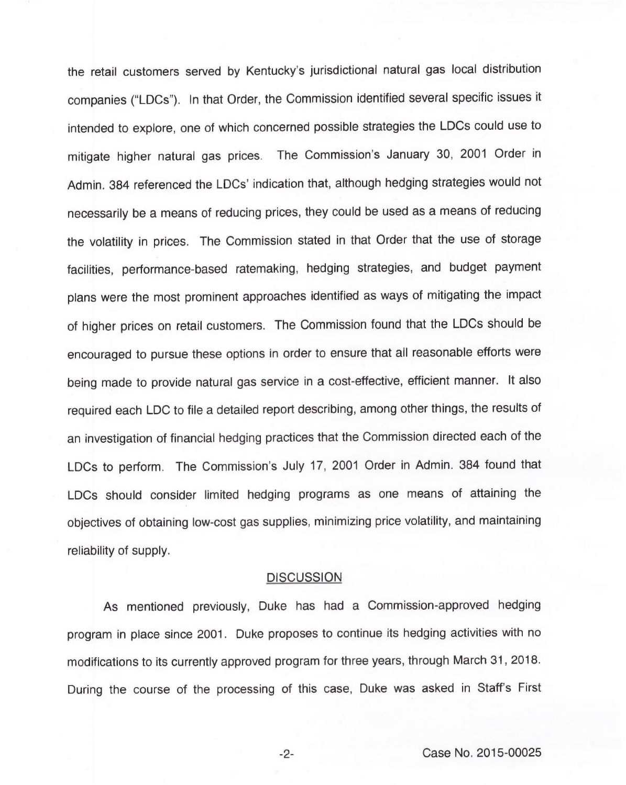the retail customers served by Kentucky's jurisdictional natural gas local distribution companies ("LDCs"). In that Order, the Commission identified several specific issues it intended to explore, one of which concerned possible strategies the LDCs could use to mitigate higher natural gas prices. The Commission's January 30, 2001 Order in Admin. 384 referenced the LDCs' indication that, although hedging strategies would not necessarily be a means of reducing prices, they could be used as a means of reducing the volatility in prices. The Commission stated in that Order that the use of storage facilities, performance-based ratemaking, hedging strategies, and budget payment plans were the most prominent approaches identified as ways of mitigating the impact of higher prices on retail customers. The Commission found that the LDCs should be encouraged to pursue these options in order to ensure that all reasonable efforts were being made to provide natural gas service in a cost-effective, efficient manner. It also required each LDC to file a detailed report describing, among other things, the results of an investigation of financial hedging practices that the Commission directed each of the LDCs to perform. The Commission's July 17, 2001 Order in Admin. 384 found that LDCs should consider limited hedging programs as one means of attaining the objectives of obtaining low-cost gas supplies, minimizing price volatility, and maintaining reliability of supply.

### **DISCUSSION**

As mentioned previously, Duke has had a Commission-approved hedging program in place since 2001. Duke proposes to continue its hedging activities with no modifications to its currently approved program for three years, through March 31, 2018. During the course of the processing of this case, Duke was asked in Staff's First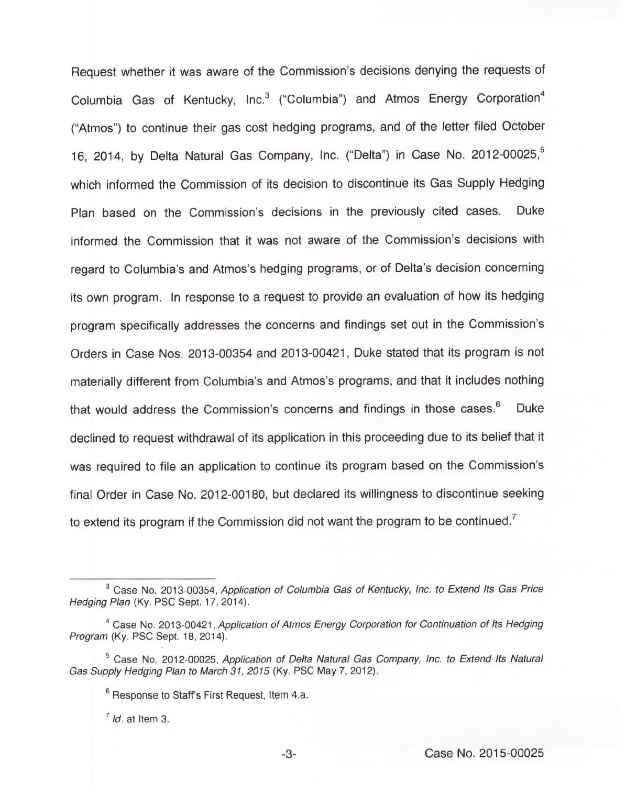Request whether it was aware of the Commission's decisions denying the requests of Columbia Gas of Kentucky, Inc.<sup>3</sup> ("Columbia") and Atmos Energy Corporation<sup>4</sup> Atmos") to continue their gas cost hedging programs, and of the letter filed Octobe 16, 2014, by Delta Natural Gas Company, Inc. ("Delta") in Case No. which informed the Commission of its decision to discontinue its Gas Supply Hedging Plan based on the Commission's decisions in the previously cited cases. Duke informed the Commission that it was not aware of the Commission's decisions with regard to Columbia's and Atmos's hedging programs, or of Delta's decision concerning its own program. In response to a request to provide an evaluation of how its hedging program specifically addresses the concerns and findings set out in the Commission's Orders in Case Nos. 2013-00354 and 2013-00421, Duke stated that its program is not materially different from Columbia's and Atmos's programs, and that it includes nothing that would address the Commission's concerns and findings in those cases.<sup>6</sup> Duke declined to request withdrawal of its application in this proceeding due to its belief that it was required to file an application to continue its program based on the Commission's final Order in Case No. 2012-00180, but declared its willingness to discontinue seeking to extend its program if the Commission did not want the program to be continued.<sup>7</sup>

 $<sup>7</sup>$  Id. at Item 3.</sup>

 $3$  Case No. 2013-00354, Application of Columbia Gas of Kentucky, Inc. to Extend Its Gas Price Hedging Plan (Ky. PSC Sept. 17, 2014).

Case No. 2013-00421, Application of Atmos Energy Corporation for Continuation of Its Hedging Program (Ky. PSC Sept. 18, 2014).

 $5$  Case No. 2012-00025, Application of Delta Natural Gas Company, Inc. to Extend Its Natural Gas Supply Hedging Plan to March 31, 2015 (Ky. PSC May 7, 2012).

 $6$  Response to Staff's First Request, Item 4.a.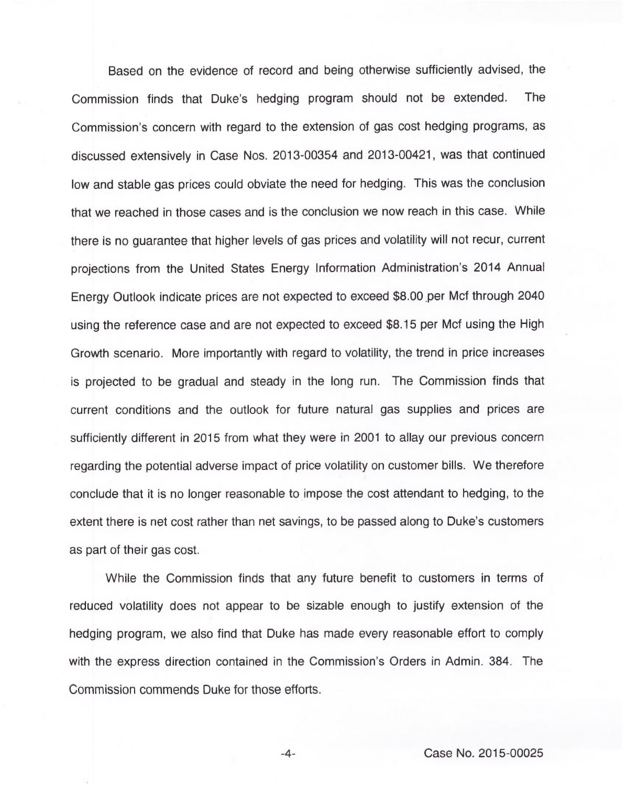Based on the evidence of record and being otherwise sufficiently advised, the Commission finds that Duke's hedging program should not be extended. The Commission's concern with regard to the extension of gas cost hedging programs, as discussed extensively in Case Nos. 2013-00354 and 2013-00421, was that continued low and stable gas prices could obviate the need for hedging. This was the conclusion that we reached in those cases and is the conclusion we now reach in this case. While there is no guarantee that higher levels of gas prices and volatility will not recur, current projections from the United States Energy Information Administration's 2014 Annual Energy Outlook indicate prices are not expected to exceed \$8.00 per Mcf through 2040 using the reference case and are not expected to exceed \$8.15 per Mcf using the High Growth scenario. More importantly with regard to volatility, the trend in price increases is projected to be gradual and steady in the long run. The Commission finds that current conditions and the outlook for future natural gas supplies and prices are sufficiently different in 2015 from what they were in 2001 to allay our previous concern regarding the potential adverse impact of price volatility on customer bills. We therefore conclude that it is no longer reasonable to impose the cost attendant to hedging, to the extent there is net cost rather than net savings, to be passed along to Duke's customers as part of their gas cost.

While the Commission finds that any future benefit to customers in terms of reduced volatility does not appear to be sizable enough to justify extension of the hedging program, we also find that Duke has made every reasonable effort to comply with the express direction contained in the Commission's Orders in Admin. 384. The Commission commends Duke for those efforts.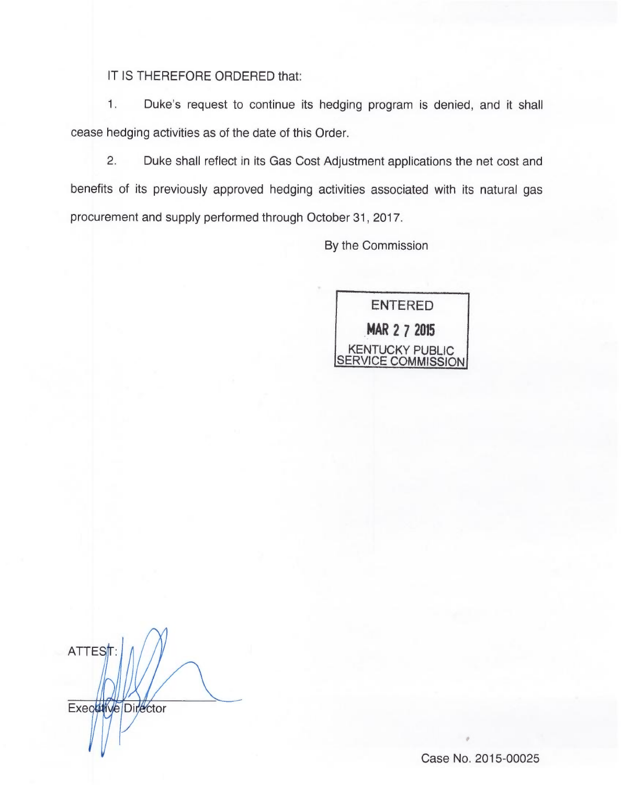IT IS THEREFORE ORDERED that:

 $1.$ Duke's request to continue its hedging program is denied, and it shall cease hedging activities as of the date of this Order.

 $2.$ Duke shall reflect in its Gas Cost Adjustment applications the net cost and benefits of its previously approved hedging activities associated with its natural gas procurement and supply performed through October 31, 2017.

By the Commission



ATTEST: Executive Director

Case No. 2015-00025